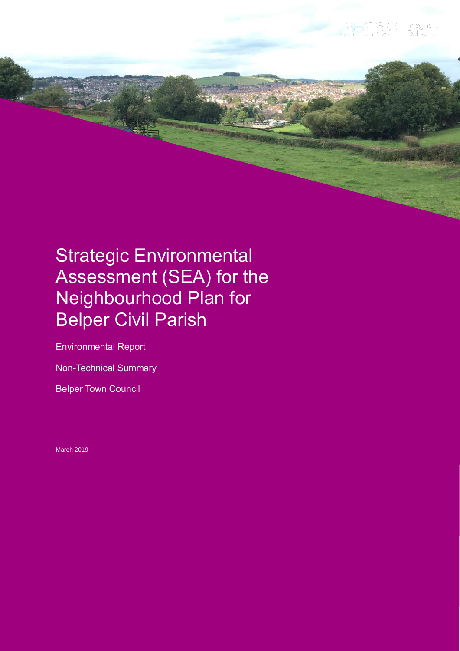# Strategic Environmental Assessment (SEA) for the Neighbourhood Plan for Belper Civil Parish

Environmental Report

Non-Technical Summary

Belper Town Council

March 2019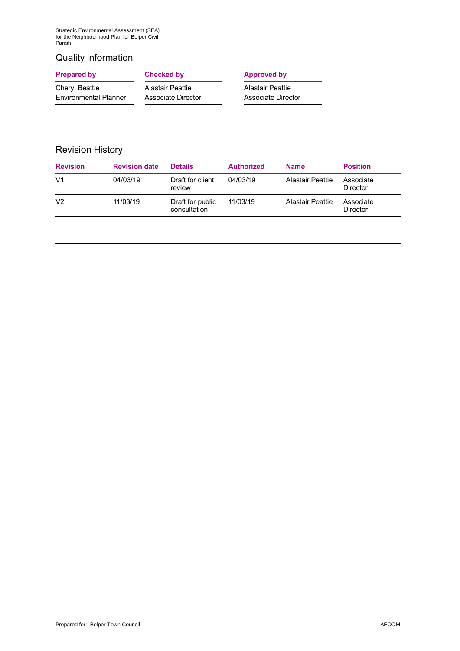Strategic Environmental Assessment (SEA) for the Neighbourhood Plan for Belper Civil Parish

#### Quality information

| <b>Prepared by</b>           | Checked by              | A۱                   |
|------------------------------|-------------------------|----------------------|
| Cheryl Beattie               | <b>Alastair Peattie</b> | <b>College</b><br>Al |
| <b>Environmental Planner</b> | Associate Director      | A.                   |
|                              |                         |                      |

#### **Proved by**

lastair Peattie ssociate Director

#### Revision History

| <b>Revision</b> | <b>Revision date</b> | <b>Details</b>                   | <b>Authorized</b> | <b>Name</b>             | <b>Position</b>       |
|-----------------|----------------------|----------------------------------|-------------------|-------------------------|-----------------------|
| V1              | 04/03/19             | Draft for client<br>review       | 04/03/19          | <b>Alastair Peattie</b> | Associate<br>Director |
| V <sub>2</sub>  | 11/03/19             | Draft for public<br>consultation | 11/03/19          | <b>Alastair Peattie</b> | Associate<br>Director |
|                 |                      |                                  |                   |                         |                       |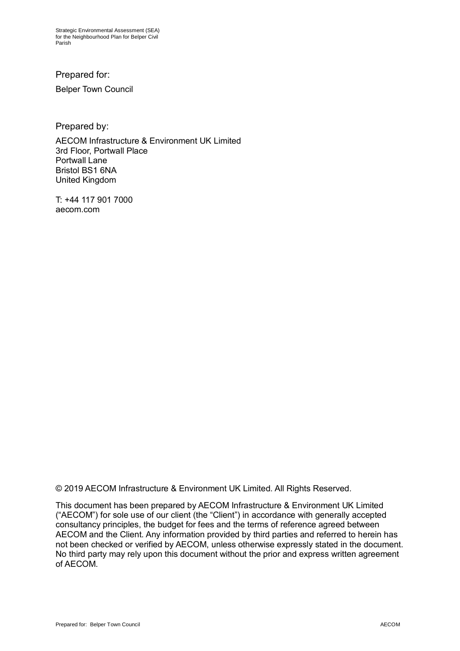Prepared for:

Belper Town Council

Prepared by:

AECOM Infrastructure & Environment UK Limited 3rd Floor, Portwall Place Portwall Lane Bristol BS1 6NA United Kingdom

T: +44 117 901 7000 aecom.com

© 2019 AECOM Infrastructure & Environment UK Limited. All Rights Reserved.

This document has been prepared by AECOM Infrastructure & Environment UK Limited ("AECOM") for sole use of our client (the "Client") in accordance with generally accepted consultancy principles, the budget for fees and the terms of reference agreed between AECOM and the Client. Any information provided by third parties and referred to herein has not been checked or verified by AECOM, unless otherwise expressly stated in the document. No third party may rely upon this document without the prior and express written agreement of AECOM.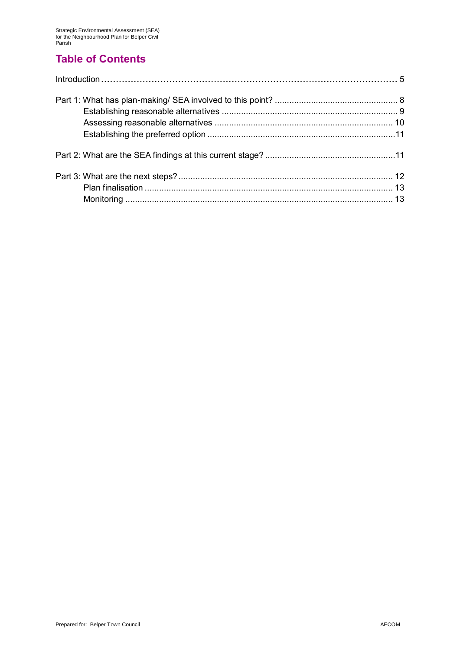### **Table of Contents**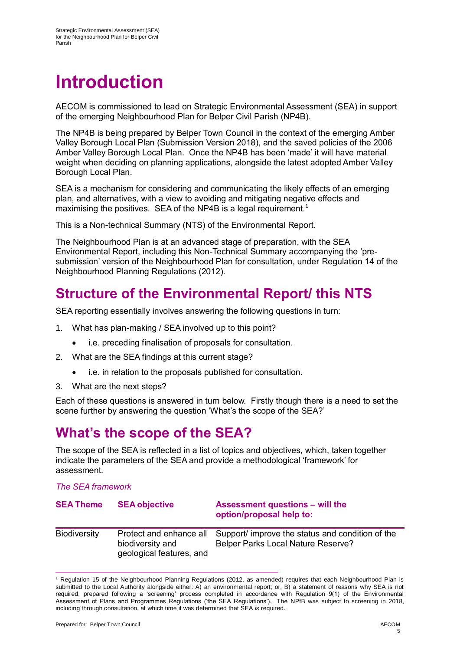# **Introduction**

AECOM is commissioned to lead on Strategic Environmental Assessment (SEA) in support of the emerging Neighbourhood Plan for Belper Civil Parish (NP4B).

The NP4B is being prepared by Belper Town Council in the context of the emerging Amber Valley Borough Local Plan (Submission Version 2018), and the saved policies of the 2006 Amber Valley Borough Local Plan. Once the NP4B has been 'made' it will have material weight when deciding on planning applications, alongside the latest adopted Amber Valley Borough Local Plan.

SEA is a mechanism for considering and communicating the likely effects of an emerging plan, and alternatives, with a view to avoiding and mitigating negative effects and maximising the positives. SEA of the NP4B is a legal requirement.<sup>1</sup>

This is a Non-technical Summary (NTS) of the Environmental Report.

The Neighbourhood Plan is at an advanced stage of preparation, with the SEA Environmental Report, including this Non-Technical Summary accompanying the 'presubmission' version of the Neighbourhood Plan for consultation, under Regulation 14 of the Neighbourhood Planning Regulations (2012).

## **Structure of the Environmental Report/ this NTS**

SEA reporting essentially involves answering the following questions in turn:

- 1. What has plan-making / SEA involved up to this point?
	- i.e. preceding finalisation of proposals for consultation.
- 2. What are the SEA findings at this current stage?
	- i.e. in relation to the proposals published for consultation.
- 3. What are the next steps?

Each of these questions is answered in turn below. Firstly though there is a need to set the scene further by answering the question 'What's the scope of the SEA?'

## **What's the scope of the SEA?**

The scope of the SEA is reflected in a list of topics and objectives, which, taken together indicate the parameters of the SEA and provide a methodological 'framework' for assessment.

*The SEA framework*

| <b>SEA Theme</b>    | <b>SEA objective</b>                                                    | Assessment questions - will the<br>option/proposal help to:                                   |
|---------------------|-------------------------------------------------------------------------|-----------------------------------------------------------------------------------------------|
| <b>Biodiversity</b> | Protect and enhance all<br>biodiversity and<br>geological features, and | Support/ improve the status and condition of the<br><b>Belper Parks Local Nature Reserve?</b> |

<sup>1</sup> Regulation 15 of the Neighbourhood Planning Regulations (2012, as amended) requires that each Neighbourhood Plan is submitted to the Local Authority alongside either: A) an environmental report; or, B) a statement of reasons why SEA is not required, prepared following a 'screening' process completed in accordance with Regulation 9(1) of the Environmental Assessment of Plans and Programmes Regulations ('the SEA Regulations'). The NPfB was subject to screening in 2018, including through consultation, at which time it was determined that SEA *is* required.

 $\overline{a}$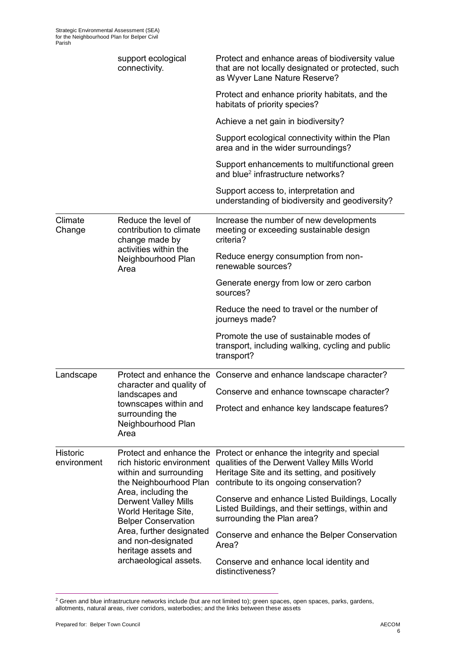|                                | support ecological<br>connectivity.                                                                                                                                                                         | Protect and enhance areas of biodiversity value<br>that are not locally designated or protected, such<br>as Wyver Lane Nature Reserve?                                                  |
|--------------------------------|-------------------------------------------------------------------------------------------------------------------------------------------------------------------------------------------------------------|-----------------------------------------------------------------------------------------------------------------------------------------------------------------------------------------|
|                                |                                                                                                                                                                                                             | Protect and enhance priority habitats, and the<br>habitats of priority species?                                                                                                         |
|                                |                                                                                                                                                                                                             | Achieve a net gain in biodiversity?                                                                                                                                                     |
|                                |                                                                                                                                                                                                             | Support ecological connectivity within the Plan<br>area and in the wider surroundings?                                                                                                  |
|                                |                                                                                                                                                                                                             | Support enhancements to multifunctional green<br>and blue <sup>2</sup> infrastructure networks?                                                                                         |
|                                |                                                                                                                                                                                                             | Support access to, interpretation and<br>understanding of biodiversity and geodiversity?                                                                                                |
| Climate<br>Change              | Reduce the level of<br>contribution to climate<br>change made by                                                                                                                                            | Increase the number of new developments<br>meeting or exceeding sustainable design<br>criteria?                                                                                         |
|                                | activities within the<br>Neighbourhood Plan<br>Area                                                                                                                                                         | Reduce energy consumption from non-<br>renewable sources?                                                                                                                               |
|                                |                                                                                                                                                                                                             | Generate energy from low or zero carbon<br>sources?                                                                                                                                     |
|                                |                                                                                                                                                                                                             | Reduce the need to travel or the number of<br>journeys made?                                                                                                                            |
|                                |                                                                                                                                                                                                             | Promote the use of sustainable modes of<br>transport, including walking, cycling and public<br>transport?                                                                               |
| Landscape                      |                                                                                                                                                                                                             | Protect and enhance the Conserve and enhance landscape character?                                                                                                                       |
|                                | character and quality of<br>landscapes and                                                                                                                                                                  | Conserve and enhance townscape character?                                                                                                                                               |
|                                | townscapes within and<br>surrounding the<br>Neighbourhood Plan<br>Area                                                                                                                                      | Protect and enhance key landscape features?                                                                                                                                             |
| <b>Historic</b><br>environment | Protect and enhance the<br>rich historic environment<br>within and surrounding<br>the Neighbourhood Plan                                                                                                    | Protect or enhance the integrity and special<br>qualities of the Derwent Valley Mills World<br>Heritage Site and its setting, and positively<br>contribute to its ongoing conservation? |
|                                | Area, including the<br><b>Derwent Valley Mills</b><br>World Heritage Site,<br><b>Belper Conservation</b><br>Area, further designated<br>and non-designated<br>heritage assets and<br>archaeological assets. | Conserve and enhance Listed Buildings, Locally<br>Listed Buildings, and their settings, within and<br>surrounding the Plan area?                                                        |
|                                |                                                                                                                                                                                                             | Conserve and enhance the Belper Conservation<br>Area?                                                                                                                                   |
|                                |                                                                                                                                                                                                             | Conserve and enhance local identity and<br>distinctiveness?                                                                                                                             |

 $2$  Green and blue infrastructure networks include (but are not limited to); green spaces, open spaces, parks, gardens, allotments, natural areas, river corridors, waterbodies; and the links between these assets

-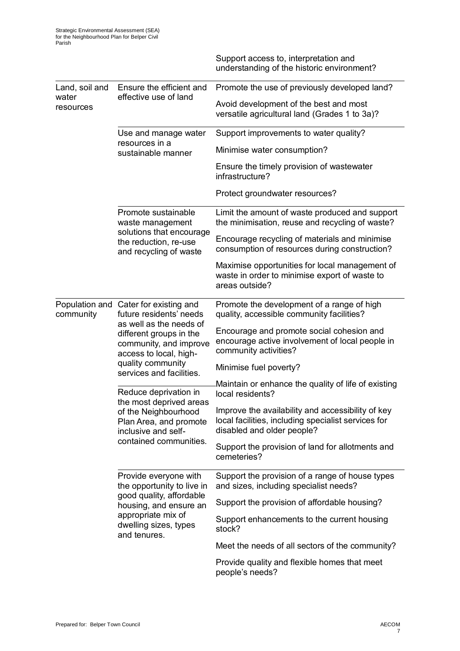|                             |                                                                                                                                                                          | Support access to, interpretation and<br>understanding of the historic environment?                                                    |
|-----------------------------|--------------------------------------------------------------------------------------------------------------------------------------------------------------------------|----------------------------------------------------------------------------------------------------------------------------------------|
| Land, soil and<br>water     | Ensure the efficient and                                                                                                                                                 | Promote the use of previously developed land?                                                                                          |
| resources                   | effective use of land                                                                                                                                                    | Avoid development of the best and most<br>versatile agricultural land (Grades 1 to 3a)?                                                |
|                             | Use and manage water                                                                                                                                                     | Support improvements to water quality?                                                                                                 |
|                             | resources in a<br>sustainable manner                                                                                                                                     | Minimise water consumption?                                                                                                            |
|                             |                                                                                                                                                                          | Ensure the timely provision of wastewater<br>infrastructure?                                                                           |
|                             |                                                                                                                                                                          | Protect groundwater resources?                                                                                                         |
|                             | Promote sustainable<br>waste management                                                                                                                                  | Limit the amount of waste produced and support<br>the minimisation, reuse and recycling of waste?                                      |
|                             | solutions that encourage<br>the reduction, re-use<br>and recycling of waste                                                                                              | Encourage recycling of materials and minimise<br>consumption of resources during construction?                                         |
|                             |                                                                                                                                                                          | Maximise opportunities for local management of<br>waste in order to minimise export of waste to<br>areas outside?                      |
| Population and<br>community | Cater for existing and<br>future residents' needs<br>as well as the needs of                                                                                             | Promote the development of a range of high<br>quality, accessible community facilities?                                                |
|                             | different groups in the<br>community, and improve<br>access to local, high-                                                                                              | Encourage and promote social cohesion and<br>encourage active involvement of local people in<br>community activities?                  |
|                             | quality community<br>services and facilities.                                                                                                                            | Minimise fuel poverty?                                                                                                                 |
|                             | Reduce deprivation in<br>the most deprived areas<br>of the Neighbourhood<br>Plan Area, and promote<br>inclusive and self-<br>contained communities.                      | Maintain or enhance the quality of life of existing<br>local residents?                                                                |
|                             |                                                                                                                                                                          | Improve the availability and accessibility of key<br>local facilities, including specialist services for<br>disabled and older people? |
|                             |                                                                                                                                                                          | Support the provision of land for allotments and<br>cemeteries?                                                                        |
|                             | Provide everyone with<br>the opportunity to live in<br>good quality, affordable<br>housing, and ensure an<br>appropriate mix of<br>dwelling sizes, types<br>and tenures. | Support the provision of a range of house types<br>and sizes, including specialist needs?                                              |
|                             |                                                                                                                                                                          | Support the provision of affordable housing?                                                                                           |
|                             |                                                                                                                                                                          | Support enhancements to the current housing<br>stock?                                                                                  |
|                             |                                                                                                                                                                          | Meet the needs of all sectors of the community?                                                                                        |
|                             |                                                                                                                                                                          | Provide quality and flexible homes that meet<br>people's needs?                                                                        |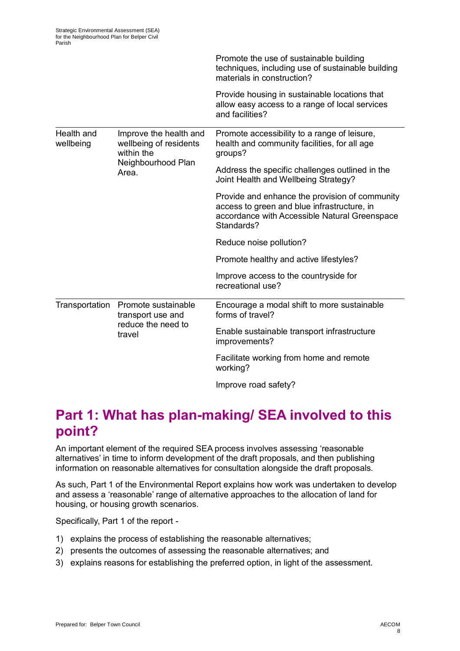|                         |                                                                          | Promote the use of sustainable building<br>techniques, including use of sustainable building<br>materials in construction?                                   |
|-------------------------|--------------------------------------------------------------------------|--------------------------------------------------------------------------------------------------------------------------------------------------------------|
|                         |                                                                          | Provide housing in sustainable locations that<br>allow easy access to a range of local services<br>and facilities?                                           |
| Health and<br>wellbeing | Improve the health and<br>wellbeing of residents<br>within the           | Promote accessibility to a range of leisure,<br>health and community facilities, for all age<br>groups?                                                      |
|                         | Neighbourhood Plan<br>Area.                                              | Address the specific challenges outlined in the<br>Joint Health and Wellbeing Strategy?                                                                      |
|                         |                                                                          | Provide and enhance the provision of community<br>access to green and blue infrastructure, in<br>accordance with Accessible Natural Greenspace<br>Standards? |
|                         |                                                                          | Reduce noise pollution?                                                                                                                                      |
|                         |                                                                          | Promote healthy and active lifestyles?                                                                                                                       |
|                         |                                                                          | Improve access to the countryside for<br>recreational use?                                                                                                   |
| Transportation          | Promote sustainable<br>transport use and<br>reduce the need to<br>travel | Encourage a modal shift to more sustainable<br>forms of travel?                                                                                              |
|                         |                                                                          | Enable sustainable transport infrastructure<br>improvements?                                                                                                 |
|                         |                                                                          | Facilitate working from home and remote<br>working?                                                                                                          |
|                         |                                                                          | Improve road safety?                                                                                                                                         |

# **Part 1: What has plan-making/ SEA involved to this point?**

An important element of the required SEA process involves assessing 'reasonable alternatives' in time to inform development of the draft proposals, and then publishing information on reasonable alternatives for consultation alongside the draft proposals.

As such, Part 1 of the Environmental Report explains how work was undertaken to develop and assess a 'reasonable' range of alternative approaches to the allocation of land for housing, or housing growth scenarios.

Specifically, Part 1 of the report -

- 1) explains the process of establishing the reasonable alternatives;
- 2) presents the outcomes of assessing the reasonable alternatives; and
- 3) explains reasons for establishing the preferred option, in light of the assessment.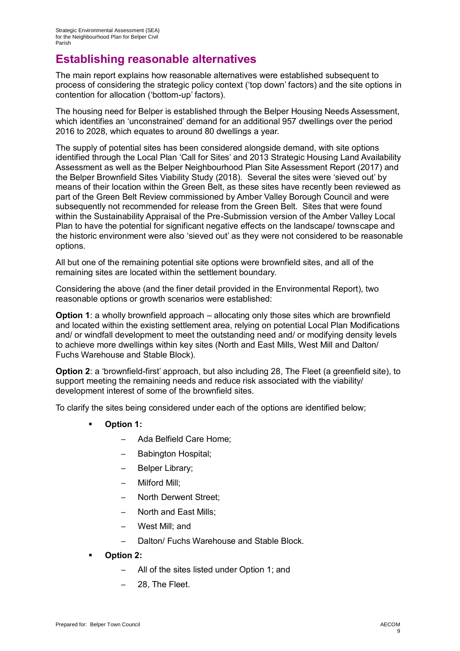#### **Establishing reasonable alternatives**

The main report explains how reasonable alternatives were established subsequent to process of considering the strategic policy context ('top down' factors) and the site options in contention for allocation ('bottom-up' factors).

The housing need for Belper is established through the Belper Housing Needs Assessment, which identifies an 'unconstrained' demand for an additional 957 dwellings over the period 2016 to 2028, which equates to around 80 dwellings a year.

The supply of potential sites has been considered alongside demand, with site options identified through the Local Plan 'Call for Sites' and 2013 Strategic Housing Land Availability Assessment as well as the Belper Neighbourhood Plan Site Assessment Report (2017) and the Belper Brownfield Sites Viability Study (2018). Several the sites were 'sieved out' by means of their location within the Green Belt, as these sites have recently been reviewed as part of the Green Belt Review commissioned by Amber Valley Borough Council and were subsequently not recommended for release from the Green Belt. Sites that were found within the Sustainability Appraisal of the Pre-Submission version of the Amber Valley Local Plan to have the potential for significant negative effects on the landscape/ townscape and the historic environment were also 'sieved out' as they were not considered to be reasonable options.

All but one of the remaining potential site options were brownfield sites, and all of the remaining sites are located within the settlement boundary.

Considering the above (and the finer detail provided in the Environmental Report), two reasonable options or growth scenarios were established:

**Option 1**: a wholly brownfield approach – allocating only those sites which are brownfield and located within the existing settlement area, relying on potential Local Plan Modifications and/ or windfall development to meet the outstanding need and/ or modifying density levels to achieve more dwellings within key sites (North and East Mills, West Mill and Dalton/ Fuchs Warehouse and Stable Block).

**Option 2**: a 'brownfield-first' approach, but also including 28, The Fleet (a greenfield site), to support meeting the remaining needs and reduce risk associated with the viability/ development interest of some of the brownfield sites.

To clarify the sites being considered under each of the options are identified below;

- **Option 1:** 
	- ─ Ada Belfield Care Home;
	- Babington Hospital;
	- Belper Library;
	- ─ Milford Mill;
	- North Derwent Street:
	- North and East Mills;
	- ─ West Mill; and
	- Dalton/ Fuchs Warehouse and Stable Block.
- **Option 2:** 
	- ─ All of the sites listed under Option 1; and
	- 28, The Fleet.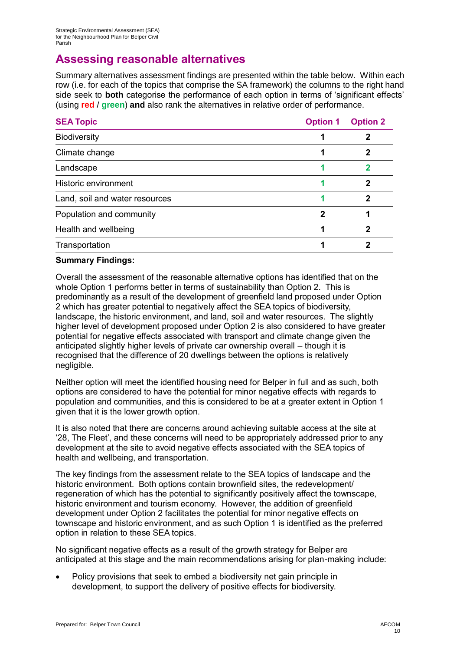#### **Assessing reasonable alternatives**

Summary alternatives assessment findings are presented within the table below. Within each row (i.e. for each of the topics that comprise the SA framework) the columns to the right hand side seek to **both** categorise the performance of each option in terms of 'significant effects' (using **red** / **green**) **and** also rank the alternatives in relative order of performance.

| <b>SEA Topic</b>               | <b>Option 1</b> | <b>Option 2</b> |
|--------------------------------|-----------------|-----------------|
| <b>Biodiversity</b>            |                 |                 |
| Climate change                 |                 | 2               |
| Landscape                      |                 |                 |
| Historic environment           |                 |                 |
| Land, soil and water resources |                 | 2               |
| Population and community       | 2               |                 |
| Health and wellbeing           |                 |                 |
| Transportation                 |                 |                 |

#### **Summary Findings:**

Overall the assessment of the reasonable alternative options has identified that on the whole Option 1 performs better in terms of sustainability than Option 2. This is predominantly as a result of the development of greenfield land proposed under Option 2 which has greater potential to negatively affect the SEA topics of biodiversity, landscape, the historic environment, and land, soil and water resources. The slightly higher level of development proposed under Option 2 is also considered to have greater potential for negative effects associated with transport and climate change given the anticipated slightly higher levels of private car ownership overall – though it is recognised that the difference of 20 dwellings between the options is relatively negligible.

Neither option will meet the identified housing need for Belper in full and as such, both options are considered to have the potential for minor negative effects with regards to population and communities, and this is considered to be at a greater extent in Option 1 given that it is the lower growth option.

It is also noted that there are concerns around achieving suitable access at the site at '28, The Fleet', and these concerns will need to be appropriately addressed prior to any development at the site to avoid negative effects associated with the SEA topics of health and wellbeing, and transportation.

The key findings from the assessment relate to the SEA topics of landscape and the historic environment. Both options contain brownfield sites, the redevelopment/ regeneration of which has the potential to significantly positively affect the townscape, historic environment and tourism economy. However, the addition of greenfield development under Option 2 facilitates the potential for minor negative effects on townscape and historic environment, and as such Option 1 is identified as the preferred option in relation to these SEA topics.

No significant negative effects as a result of the growth strategy for Belper are anticipated at this stage and the main recommendations arising for plan-making include:

• Policy provisions that seek to embed a biodiversity net gain principle in development, to support the delivery of positive effects for biodiversity.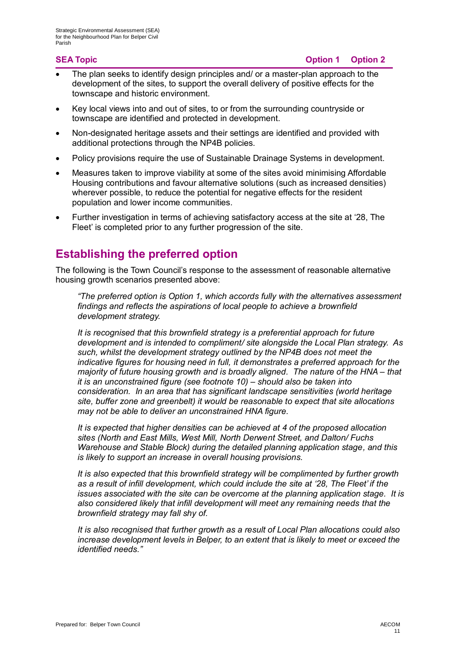- The plan seeks to identify design principles and/ or a master-plan approach to the development of the sites, to support the overall delivery of positive effects for the townscape and historic environment.
- Key local views into and out of sites, to or from the surrounding countryside or townscape are identified and protected in development.
- Non-designated heritage assets and their settings are identified and provided with additional protections through the NP4B policies.
- Policy provisions require the use of Sustainable Drainage Systems in development.
- Measures taken to improve viability at some of the sites avoid minimising Affordable Housing contributions and favour alternative solutions (such as increased densities) wherever possible, to reduce the potential for negative effects for the resident population and lower income communities.
- Further investigation in terms of achieving satisfactory access at the site at '28, The Fleet' is completed prior to any further progression of the site.

#### **Establishing the preferred option**

The following is the Town Council's response to the assessment of reasonable alternative housing growth scenarios presented above:

*"The preferred option is Option 1, which accords fully with the alternatives assessment findings and reflects the aspirations of local people to achieve a brownfield development strategy.* 

*It is recognised that this brownfield strategy is a preferential approach for future development and is intended to compliment/ site alongside the Local Plan strategy. As such, whilst the development strategy outlined by the NP4B does not meet the indicative figures for housing need in full, it demonstrates a preferred approach for the majority of future housing growth and is broadly aligned. The nature of the HNA – that it is an unconstrained figure (see footnote 10) – should also be taken into consideration. In an area that has significant landscape sensitivities (world heritage site, buffer zone and greenbelt) it would be reasonable to expect that site allocations may not be able to deliver an unconstrained HNA figure.*

*It is expected that higher densities can be achieved at 4 of the proposed allocation sites (North and East Mills, West Mill, North Derwent Street, and Dalton/ Fuchs Warehouse and Stable Block) during the detailed planning application stage, and this is likely to support an increase in overall housing provisions.*

*It is also expected that this brownfield strategy will be complimented by further growth as a result of infill development, which could include the site at '28, The Fleet' if the issues associated with the site can be overcome at the planning application stage. It is also considered likely that infill development will meet any remaining needs that the brownfield strategy may fall shy of.*

*It is also recognised that further growth as a result of Local Plan allocations could also increase development levels in Belper, to an extent that is likely to meet or exceed the identified needs."*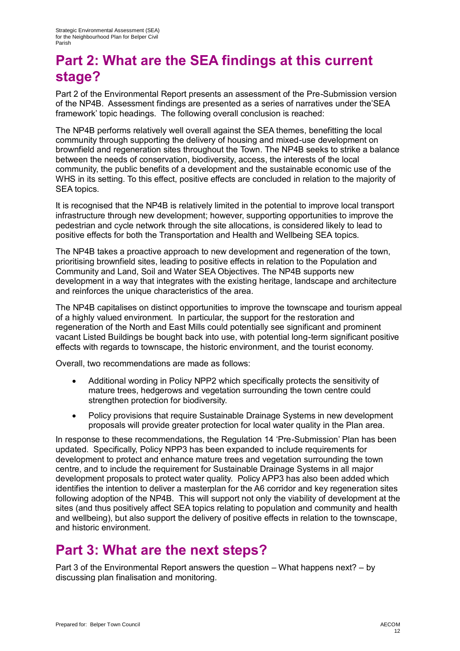# **Part 2: What are the SEA findings at this current stage?**

Part 2 of the Environmental Report presents an assessment of the Pre-Submission version of the NP4B. Assessment findings are presented as a series of narratives under the'SEA framework' topic headings. The following overall conclusion is reached:

The NP4B performs relatively well overall against the SEA themes, benefitting the local community through supporting the delivery of housing and mixed-use development on brownfield and regeneration sites throughout the Town. The NP4B seeks to strike a balance between the needs of conservation, biodiversity, access, the interests of the local community, the public benefits of a development and the sustainable economic use of the WHS in its setting. To this effect, positive effects are concluded in relation to the majority of SEA topics.

It is recognised that the NP4B is relatively limited in the potential to improve local transport infrastructure through new development; however, supporting opportunities to improve the pedestrian and cycle network through the site allocations, is considered likely to lead to positive effects for both the Transportation and Health and Wellbeing SEA topics.

The NP4B takes a proactive approach to new development and regeneration of the town, prioritising brownfield sites, leading to positive effects in relation to the Population and Community and Land, Soil and Water SEA Objectives. The NP4B supports new development in a way that integrates with the existing heritage, landscape and architecture and reinforces the unique characteristics of the area.

The NP4B capitalises on distinct opportunities to improve the townscape and tourism appeal of a highly valued environment. In particular, the support for the restoration and regeneration of the North and East Mills could potentially see significant and prominent vacant Listed Buildings be bought back into use, with potential long-term significant positive effects with regards to townscape, the historic environment, and the tourist economy.

Overall, two recommendations are made as follows:

- Additional wording in Policy NPP2 which specifically protects the sensitivity of mature trees, hedgerows and vegetation surrounding the town centre could strengthen protection for biodiversity.
- Policy provisions that require Sustainable Drainage Systems in new development proposals will provide greater protection for local water quality in the Plan area.

In response to these recommendations, the Regulation 14 'Pre-Submission' Plan has been updated. Specifically, Policy NPP3 has been expanded to include requirements for development to protect and enhance mature trees and vegetation surrounding the town centre, and to include the requirement for Sustainable Drainage Systems in all major development proposals to protect water quality. Policy APP3 has also been added which identifies the intention to deliver a masterplan for the A6 corridor and key regeneration sites following adoption of the NP4B. This will support not only the viability of development at the sites (and thus positively affect SEA topics relating to population and community and health and wellbeing), but also support the delivery of positive effects in relation to the townscape, and historic environment.

# **Part 3: What are the next steps?**

Part 3 of the Environmental Report answers the question – What happens next? – by discussing plan finalisation and monitoring.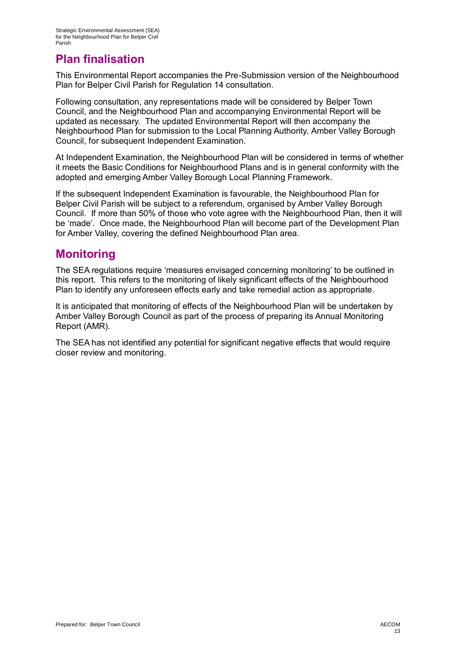### **Plan finalisation**

This Environmental Report accompanies the Pre-Submission version of the Neighbourhood Plan for Belper Civil Parish for Regulation 14 consultation.

Following consultation, any representations made will be considered by Belper Town Council, and the Neighbourhood Plan and accompanying Environmental Report will be updated as necessary. The updated Environmental Report will then accompany the Neighbourhood Plan for submission to the Local Planning Authority, Amber Valley Borough Council, for subsequent Independent Examination.

At Independent Examination, the Neighbourhood Plan will be considered in terms of whether it meets the Basic Conditions for Neighbourhood Plans and is in general conformity with the adopted and emerging Amber Valley Borough Local Planning Framework.

If the subsequent Independent Examination is favourable, the Neighbourhood Plan for Belper Civil Parish will be subject to a referendum, organised by Amber Valley Borough Council. If more than 50% of those who vote agree with the Neighbourhood Plan, then it will be 'made'. Once made, the Neighbourhood Plan will become part of the Development Plan for Amber Valley, covering the defined Neighbourhood Plan area.

#### **Monitoring**

The SEA regulations require 'measures envisaged concerning monitoring' to be outlined in this report. This refers to the monitoring of likely significant effects of the Neighbourhood Plan to identify any unforeseen effects early and take remedial action as appropriate.

It is anticipated that monitoring of effects of the Neighbourhood Plan will be undertaken by Amber Valley Borough Council as part of the process of preparing its Annual Monitoring Report (AMR).

The SEA has not identified any potential for significant negative effects that would require closer review and monitoring.